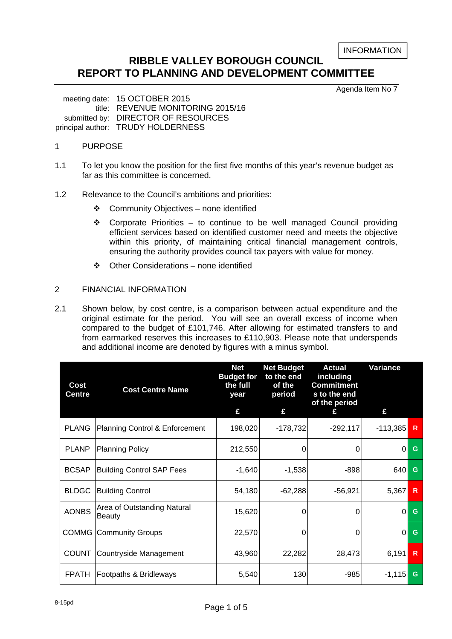INFORMATION

# **RIBBLE VALLEY BOROUGH COUNCIL REPORT TO PLANNING AND DEVELOPMENT COMMITTEE**

Agenda Item No 7

 meeting date: 15 OCTOBER 2015 title: REVENUE MONITORING 2015/16 submitted by: DIRECTOR OF RESOURCES principal author: TRUDY HOLDERNESS

# 1 PURPOSE

- 1.1 To let you know the position for the first five months of this year's revenue budget as far as this committee is concerned.
- 1.2 Relevance to the Council's ambitions and priorities:
	- Community Objectives none identified
	- $\div$  Corporate Priorities to continue to be well managed Council providing efficient services based on identified customer need and meets the objective within this priority, of maintaining critical financial management controls, ensuring the authority provides council tax payers with value for money.
	- Other Considerations none identified

## 2 FINANCIAL INFORMATION

2.1 Shown below, by cost centre, is a comparison between actual expenditure and the original estimate for the period. You will see an overall excess of income when compared to the budget of £101,746. After allowing for estimated transfers to and from earmarked reserves this increases to £110,903. Please note that underspends and additional income are denoted by figures with a minus symbol.

| Cost<br><b>Centre</b> | <b>Cost Centre Name</b>                      | <b>Net</b><br><b>Budget for</b><br>the full<br>year<br>£ | <b>Net Budget</b><br>to the end<br>of the<br>period<br>£ | <b>Actual</b><br>including<br><b>Commitment</b><br>s to the end<br>of the period<br>£ | Variance<br>£ |              |
|-----------------------|----------------------------------------------|----------------------------------------------------------|----------------------------------------------------------|---------------------------------------------------------------------------------------|---------------|--------------|
| <b>PLANG</b>          | Planning Control & Enforcement               | 198,020                                                  | $-178,732$                                               | $-292,117$                                                                            | $-113,385$    | $\mathsf{R}$ |
| <b>PLANP</b>          | <b>Planning Policy</b>                       | 212,550                                                  | 0                                                        | 0                                                                                     | $\Omega$      | G            |
| <b>BCSAP</b>          | <b>Building Control SAP Fees</b>             | $-1,640$                                                 | $-1,538$                                                 | $-898$                                                                                | 640           | G            |
| <b>BLDGC</b>          | <b>Building Control</b>                      | 54,180                                                   | $-62,288$                                                | $-56,921$                                                                             | 5,367         | R            |
| <b>AONBS</b>          | Area of Outstanding Natural<br><b>Beauty</b> | 15,620                                                   | 0                                                        | 0                                                                                     | 0             | G            |
|                       | <b>COMMG Community Groups</b>                | 22,570                                                   | 0                                                        | 0                                                                                     | $\Omega$      | G            |
| <b>COUNT</b>          | Countryside Management                       | 43,960                                                   | 22,282                                                   | 28,473                                                                                | 6,191         | $\mathsf{R}$ |
| <b>FPATH</b>          | Footpaths & Bridleways                       | 5,540                                                    | 130                                                      | $-985$                                                                                | $-1,115$      | G            |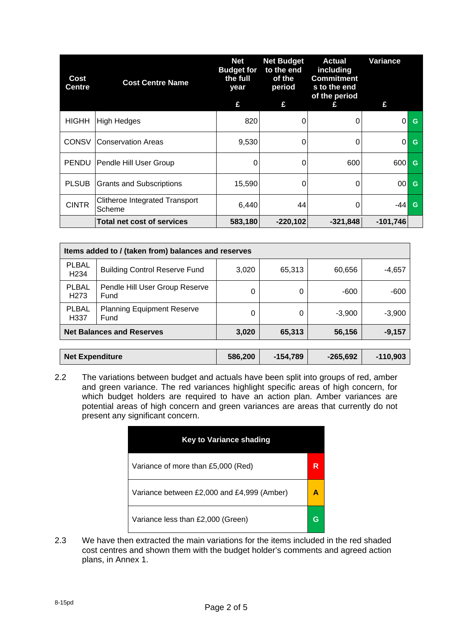| Cost<br>Centre | <b>Cost Centre Name</b>                         | <b>Net</b><br><b>Budget for</b><br>the full<br>year<br>£ | <b>Net Budget</b><br>to the end<br>of the<br>period<br>£ | <b>Actual</b><br>including<br><b>Commitment</b><br>s to the end<br>of the period<br>£ | Variance<br>£ |   |
|----------------|-------------------------------------------------|----------------------------------------------------------|----------------------------------------------------------|---------------------------------------------------------------------------------------|---------------|---|
| HIGHH          | <b>High Hedges</b>                              | 820                                                      | 0                                                        |                                                                                       | $\Omega$      | G |
| <b>CONSV</b>   | <b>Conservation Areas</b>                       | 9,530                                                    | 0                                                        | 0                                                                                     | $\Omega$      | G |
| <b>PENDU</b>   | Pendle Hill User Group                          | 0                                                        | 0                                                        | 600                                                                                   | 600           | G |
| <b>PLSUB</b>   | <b>Grants and Subscriptions</b>                 | 15,590                                                   | 0                                                        | $\Omega$                                                                              | 00            | G |
| <b>CINTR</b>   | <b>Clitheroe Integrated Transport</b><br>Scheme | 6,440                                                    | 44                                                       | $\Omega$                                                                              | -44           | G |
|                | <b>Total net cost of services</b>               | 583,180                                                  | $-220,102$                                               | $-321,848$                                                                            | $-101,746$    |   |

| Items added to / (taken from) balances and reserves                            |                                        |         |            |            |            |  |  |  |
|--------------------------------------------------------------------------------|----------------------------------------|---------|------------|------------|------------|--|--|--|
| <b>PLBAL</b><br>H <sub>234</sub>                                               | <b>Building Control Reserve Fund</b>   | 3,020   | 65,313     | 60,656     | $-4,657$   |  |  |  |
| <b>PLBAL</b><br>H <sub>273</sub>                                               | Pendle Hill User Group Reserve<br>Fund | 0       | 0          | -600       | $-600$     |  |  |  |
| <b>PLBAL</b><br><b>Planning Equipment Reserve</b><br>Fund<br>H <sub>33</sub> 7 |                                        | 0       | 0          | $-3,900$   | $-3,900$   |  |  |  |
|                                                                                | <b>Net Balances and Reserves</b>       | 3,020   | 65,313     | 56,156     | $-9,157$   |  |  |  |
|                                                                                |                                        |         |            |            |            |  |  |  |
| <b>Net Expenditure</b>                                                         |                                        | 586,200 | $-154,789$ | $-265,692$ | $-110,903$ |  |  |  |

2.2 The variations between budget and actuals have been split into groups of red, amber and green variance. The red variances highlight specific areas of high concern, for which budget holders are required to have an action plan. Amber variances are potential areas of high concern and green variances are areas that currently do not present any significant concern.

| <b>Key to Variance shading</b>             |   |
|--------------------------------------------|---|
| Variance of more than £5,000 (Red)         | R |
| Variance between £2,000 and £4,999 (Amber) |   |
| Variance less than £2,000 (Green)          |   |

2.3 We have then extracted the main variations for the items included in the red shaded cost centres and shown them with the budget holder's comments and agreed action plans, in Annex 1.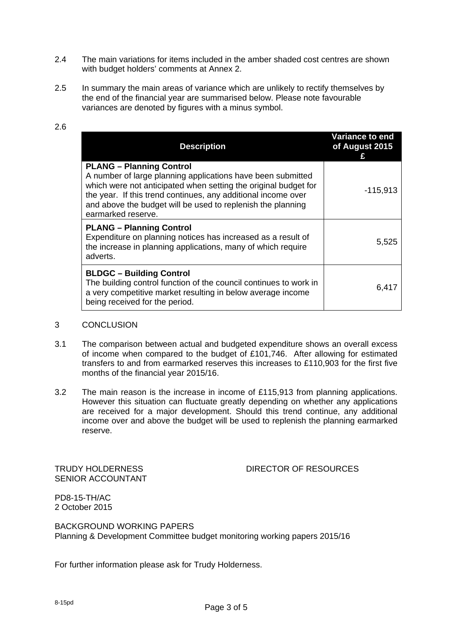- 2.4 The main variations for items included in the amber shaded cost centres are shown with budget holders' comments at Annex 2.
- 2.5 In summary the main areas of variance which are unlikely to rectify themselves by the end of the financial year are summarised below. Please note favourable variances are denoted by figures with a minus symbol.

# 2.6

| <b>Description</b>                                                                                                                                                                                                                                                                                                      | <b>Variance to end</b><br>of August 2015 |
|-------------------------------------------------------------------------------------------------------------------------------------------------------------------------------------------------------------------------------------------------------------------------------------------------------------------------|------------------------------------------|
| <b>PLANG - Planning Control</b><br>A number of large planning applications have been submitted<br>which were not anticipated when setting the original budget for<br>the year. If this trend continues, any additional income over<br>and above the budget will be used to replenish the planning<br>earmarked reserve. | $-115,913$                               |
| <b>PLANG - Planning Control</b><br>Expenditure on planning notices has increased as a result of<br>the increase in planning applications, many of which require<br>adverts.                                                                                                                                             | 5,525                                    |
| <b>BLDGC - Building Control</b><br>The building control function of the council continues to work in<br>a very competitive market resulting in below average income<br>being received for the period.                                                                                                                   | 6,417                                    |

#### 3 CONCLUSION

- 3.1 The comparison between actual and budgeted expenditure shows an overall excess of income when compared to the budget of £101,746. After allowing for estimated transfers to and from earmarked reserves this increases to £110,903 for the first five months of the financial year 2015/16.
- 3.2 The main reason is the increase in income of £115,913 from planning applications. However this situation can fluctuate greatly depending on whether any applications are received for a major development. Should this trend continue, any additional income over and above the budget will be used to replenish the planning earmarked reserve.

SENIOR ACCOUNTANT

### TRUDY HOLDERNESS DIRECTOR OF RESOURCES

PD8-15-TH/AC 2 October 2015

BACKGROUND WORKING PAPERS Planning & Development Committee budget monitoring working papers 2015/16

For further information please ask for Trudy Holderness.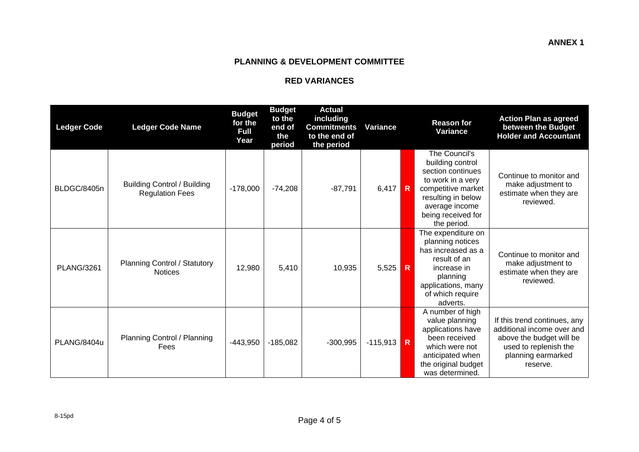#### **PLANNING & DEVELOPMENT COMMITTEE**

#### **RED VARIANCES**

| <b>Ledger Code</b> | <b>Ledger Code Name</b>                                      | <b>Budget</b><br>for the<br><b>Full</b><br>Year | <b>Budget</b><br>to the<br>end of<br>the<br>period | <b>Actual</b><br>including<br><b>Commitments</b><br>to the end of<br>the period | <b>Variance</b> |                         | <b>Reason for</b><br>Variance                                                                                                                                                  | <b>Action Plan as agreed</b><br>between the Budget<br><b>Holder and Accountant</b>                                                                |
|--------------------|--------------------------------------------------------------|-------------------------------------------------|----------------------------------------------------|---------------------------------------------------------------------------------|-----------------|-------------------------|--------------------------------------------------------------------------------------------------------------------------------------------------------------------------------|---------------------------------------------------------------------------------------------------------------------------------------------------|
| BLDGC/8405n        | <b>Building Control / Building</b><br><b>Regulation Fees</b> | $-178,000$                                      | $-74,208$                                          | $-87,791$                                                                       | 6,417           | R                       | The Council's<br>building control<br>section continues<br>to work in a very<br>competitive market<br>resulting in below<br>average income<br>being received for<br>the period. | Continue to monitor and<br>make adjustment to<br>estimate when they are<br>reviewed.                                                              |
| <b>PLANG/3261</b>  | <b>Planning Control / Statutory</b><br><b>Notices</b>        | 12,980                                          | 5,410                                              | 10,935                                                                          | 5,525           | $\mathsf{R}$            | The expenditure on<br>planning notices<br>has increased as a<br>result of an<br>increase in<br>planning<br>applications, many<br>of which require<br>adverts.                  | Continue to monitor and<br>make adjustment to<br>estimate when they are<br>reviewed.                                                              |
| PLANG/8404u        | Planning Control / Planning<br>Fees                          | $-443,950$                                      | $-185,082$                                         | $-300,995$                                                                      | $-115,913$      | $\overline{\mathsf{R}}$ | A number of high<br>value planning<br>applications have<br>been received<br>which were not<br>anticipated when<br>the original budget<br>was determined.                       | If this trend continues, any<br>additional income over and<br>above the budget will be<br>used to replenish the<br>planning earmarked<br>reserve. |